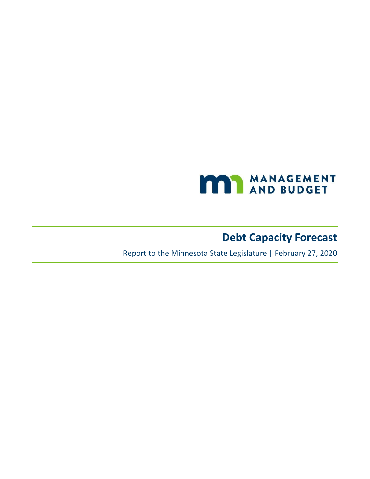

# **Debt Capacity Forecast**

Report to the Minnesota State Legislature | February 27, 2020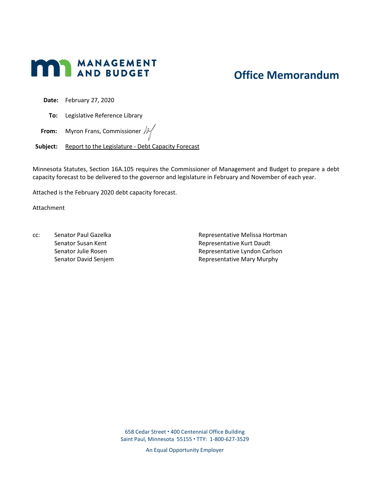

## **Office Memorandum**

**Date:** February 27, 2020

**To:** Legislative Reference Library

**From:** Myron Frans, Commissioner  $\mathbb{N}$ 

**Subject:** Report to the Legislature - Debt Capacity Forecast

Minnesota Statutes, Section 16A.105 requires the Commissioner of Management and Budget to prepare a debt capacity forecast to be delivered to the governor and legislature in February and November of each year.

Attached is the February 2020 debt capacity forecast.

Attachment

cc: Senator Paul Gazelka Senator Susan Kent Senator Julie Rosen Senator David Senjem Representative Melissa Hortman Representative Kurt Daudt Representative Lyndon Carlson Representative Mary Murphy

658 Cedar Street 400 Centennial Office Building Saint Paul, Minnesota 55155 TTY: 1-800-627-3529

An Equal Opportunity Employer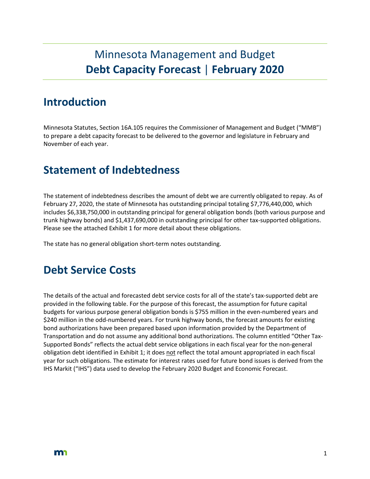# Minnesota Management and Budget **Debt Capacity Forecast** | **February 2020**

## **Introduction**

Minnesota Statutes, Section 16A.105 requires the Commissioner of Management and Budget ("MMB") to prepare a debt capacity forecast to be delivered to the governor and legislature in February and November of each year.

## **Statement of Indebtedness**

The statement of indebtedness describes the amount of debt we are currently obligated to repay. As of February 27, 2020, the state of Minnesota has outstanding principal totaling \$7,776,440,000, which includes \$6,338,750,000 in outstanding principal for general obligation bonds (both various purpose and trunk highway bonds) and \$1,437,690,000 in outstanding principal for other tax-supported obligations. Please see the attached Exhibit 1 for more detail about these obligations.

The state has no general obligation short-term notes outstanding.

### **Debt Service Costs**

The details of the actual and forecasted debt service costs for all of the state's tax-supported debt are provided in the following table. For the purpose of this forecast, the assumption for future capital budgets for various purpose general obligation bonds is \$755 million in the even-numbered years and \$240 million in the odd-numbered years. For trunk highway bonds, the forecast amounts for existing bond authorizations have been prepared based upon information provided by the Department of Transportation and do not assume any additional bond authorizations. The column entitled "Other Tax-Supported Bonds" reflects the actual debt service obligations in each fiscal year for the non-general obligation debt identified in Exhibit 1; it does not reflect the total amount appropriated in each fiscal year for such obligations. The estimate for interest rates used for future bond issues is derived from the IHS Markit ("IHS") data used to develop the February 2020 Budget and Economic Forecast.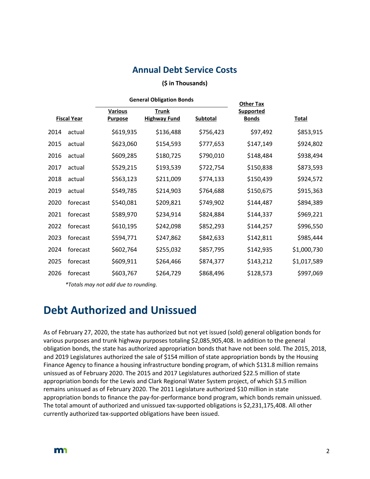### **Annual Debt Service Costs**

#### **(\$ in Thousands)**

|                    |          | <b>General Obligation Bonds</b>  |                                     |                 | <b>Other Tax</b>                 |              |  |
|--------------------|----------|----------------------------------|-------------------------------------|-----------------|----------------------------------|--------------|--|
| <b>Fiscal Year</b> |          | <b>Various</b><br><b>Purpose</b> | <b>Trunk</b><br><b>Highway Fund</b> | <b>Subtotal</b> | <b>Supported</b><br><b>Bonds</b> | <b>Total</b> |  |
| 2014               | actual   | \$619,935                        | \$136,488                           | \$756,423       | \$97,492                         | \$853,915    |  |
| 2015               | actual   | \$623,060                        | \$154,593                           | \$777,653       | \$147,149                        | \$924,802    |  |
| 2016               | actual   | \$609,285                        | \$180,725                           | \$790,010       | \$148,484                        | \$938,494    |  |
| 2017               | actual   | \$529,215                        | \$193,539                           | \$722,754       | \$150,838                        | \$873,593    |  |
| 2018               | actual   | \$563,123                        | \$211,009                           | \$774,133       | \$150,439                        | \$924,572    |  |
| 2019               | actual   | \$549,785                        | \$214,903                           | \$764,688       | \$150,675                        | \$915,363    |  |
| 2020               | forecast | \$540,081                        | \$209,821                           | \$749,902       | \$144,487                        | \$894,389    |  |
| 2021               | forecast | \$589,970                        | \$234,914                           | \$824,884       | \$144,337                        | \$969,221    |  |
| 2022               | forecast | \$610,195                        | \$242,098                           | \$852,293       | \$144,257                        | \$996,550    |  |
| 2023               | forecast | \$594,771                        | \$247,862                           | \$842,633       | \$142,811                        | \$985,444    |  |
| 2024               | forecast | \$602,764                        | \$255,032                           | \$857,795       | \$142,935                        | \$1,000,730  |  |
| 2025               | forecast | \$609,911                        | \$264,466                           | \$874,377       | \$143,212                        | \$1,017,589  |  |
| 2026               | forecast | \$603,767                        | \$264,729                           | \$868,496       | \$128,573                        | \$997,069    |  |

*\*Totals may not add due to rounding.*

### **Debt Authorized and Unissued**

As of February 27, 2020, the state has authorized but not yet issued (sold) general obligation bonds for various purposes and trunk highway purposes totaling \$2,085,905,408. In addition to the general obligation bonds, the state has authorized appropriation bonds that have not been sold. The 2015, 2018, and 2019 Legislatures authorized the sale of \$154 million of state appropriation bonds by the Housing Finance Agency to finance a housing infrastructure bonding program, of which \$131.8 million remains unissued as of February 2020. The 2015 and 2017 Legislatures authorized \$22.5 million of state appropriation bonds for the Lewis and Clark Regional Water System project, of which \$3.5 million remains unissued as of February 2020. The 2011 Legislature authorized \$10 million in state appropriation bonds to finance the pay-for-performance bond program, which bonds remain unissued. The total amount of authorized and unissued tax-supported obligations is \$2,231,175,408. All other currently authorized tax-supported obligations have been issued.

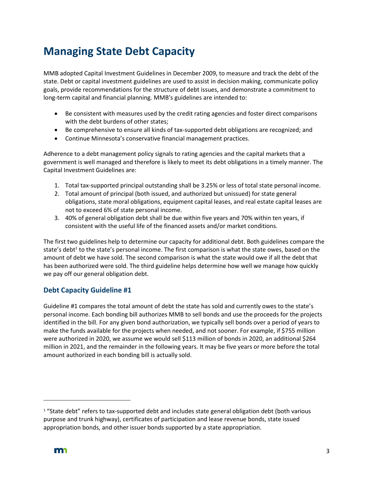# **Managing State Debt Capacity**

MMB adopted Capital Investment Guidelines in December 2009, to measure and track the debt of the state. Debt or capital investment guidelines are used to assist in decision making, communicate policy goals, provide recommendations for the structure of debt issues, and demonstrate a commitment to long-term capital and financial planning. MMB's guidelines are intended to:

- Be consistent with measures used by the credit rating agencies and foster direct comparisons with the debt burdens of other states;
- Be comprehensive to ensure all kinds of tax-supported debt obligations are recognized; and
- Continue Minnesota's conservative financial management practices.

Adherence to a debt management policy signals to rating agencies and the capital markets that a government is well managed and therefore is likely to meet its debt obligations in a timely manner. The Capital Investment Guidelines are:

- 1. Total tax-supported principal outstanding shall be 3.25% or less of total state personal income.
- 2. Total amount of principal (both issued, and authorized but unissued) for state general obligations, state moral obligations, equipment capital leases, and real estate capital leases are not to exceed 6% of state personal income.
- 3. 40% of general obligation debt shall be due within five years and 70% within ten years, if consistent with the useful life of the financed assets and/or market conditions.

The first two guidelines help to determine our capacity for additional debt. Both guidelines compare the state's debt<sup>1</sup> to the state's personal income. The first comparison is what the state owes, based on the amount of debt we have sold. The second comparison is what the state would owe if all the debt that has been authorized were sold. The third guideline helps determine how well we manage how quickly we pay off our general obligation debt.

### **Debt Capacity Guideline #1**

Guideline #1 compares the total amount of debt the state has sold and currently owes to the state's personal income. Each bonding bill authorizes MMB to sell bonds and use the proceeds for the projects identified in the bill. For any given bond authorization, we typically sell bonds over a period of years to make the funds available for the projects when needed, and not sooner. For example, if \$755 million were authorized in 2020, we assume we would sell \$113 million of bonds in 2020, an additional \$264 million in 2021, and the remainder in the following years. It may be five years or more before the total amount authorized in each bonding bill is actually sold.

<sup>&</sup>lt;sup>1</sup> "State debt" refers to tax-supported debt and includes state general obligation debt (both various purpose and trunk highway), certificates of participation and lease revenue bonds, state issued appropriation bonds, and other issuer bonds supported by a state appropriation.

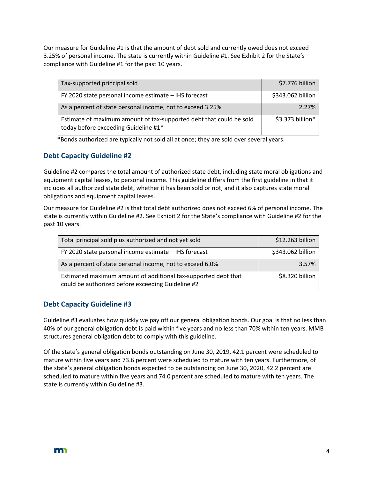Our measure for Guideline #1 is that the amount of debt sold and currently owed does not exceed 3.25% of personal income. The state is currently within Guideline #1. See Exhibit 2 for the State's compliance with Guideline #1 for the past 10 years.

| Tax-supported principal sold                                                                                | \$7.776 billion   |
|-------------------------------------------------------------------------------------------------------------|-------------------|
| FY 2020 state personal income estimate - IHS forecast                                                       | \$343.062 billion |
| As a percent of state personal income, not to exceed 3.25%                                                  | 2.27%             |
| Estimate of maximum amount of tax-supported debt that could be sold<br>today before exceeding Guideline #1* | \$3.373 billion*  |

\*Bonds authorized are typically not sold all at once; they are sold over several years.

### **Debt Capacity Guideline #2**

Guideline #2 compares the total amount of authorized state debt, including state moral obligations and equipment capital leases, to personal income. This guideline differs from the first guideline in that it includes all authorized state debt, whether it has been sold or not, and it also captures state moral obligations and equipment capital leases.

Our measure for Guideline #2 is that total debt authorized does not exceed 6% of personal income. The state is currently within Guideline #2. See Exhibit 2 for the State's compliance with Guideline #2 for the past 10 years.

| Total principal sold plus authorized and not yet sold                                                               | \$12.263 billion  |
|---------------------------------------------------------------------------------------------------------------------|-------------------|
| FY 2020 state personal income estimate - IHS forecast                                                               | \$343.062 billion |
| As a percent of state personal income, not to exceed 6.0%                                                           | 3.57%             |
| Estimated maximum amount of additional tax-supported debt that<br>could be authorized before exceeding Guideline #2 | \$8.320 billion   |

### **Debt Capacity Guideline #3**

Guideline #3 evaluates how quickly we pay off our general obligation bonds. Our goal is that no less than 40% of our general obligation debt is paid within five years and no less than 70% within ten years. MMB structures general obligation debt to comply with this guideline.

Of the state's general obligation bonds outstanding on June 30, 2019, 42.1 percent were scheduled to mature within five years and 73.6 percent were scheduled to mature with ten years. Furthermore, of the state's general obligation bonds expected to be outstanding on June 30, 2020, 42.2 percent are scheduled to mature within five years and 74.0 percent are scheduled to mature with ten years. The state is currently within Guideline #3.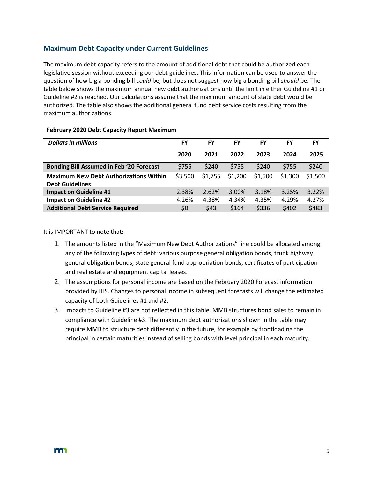### **Maximum Debt Capacity under Current Guidelines**

The maximum debt capacity refers to the amount of additional debt that could be authorized each legislative session without exceeding our debt guidelines. This information can be used to answer the question of how big a bonding bill *could* be, but does not suggest how big a bonding bill *should* be. The table below shows the maximum annual new debt authorizations until the limit in either Guideline #1 or Guideline #2 is reached. Our calculations assume that the maximum amount of state debt would be authorized. The table also shows the additional general fund debt service costs resulting from the maximum authorizations.

| <b>Dollars in millions</b>                                              | FY      | FY      | FY      | FY      | FY      | <b>FY</b> |
|-------------------------------------------------------------------------|---------|---------|---------|---------|---------|-----------|
|                                                                         | 2020    | 2021    | 2022    | 2023    | 2024    | 2025      |
| <b>Bonding Bill Assumed in Feb '20 Forecast</b>                         | \$755   | \$240   | \$755   | \$240   | \$755   | \$240     |
| <b>Maximum New Debt Authorizations Within</b><br><b>Debt Guidelines</b> | \$3,500 | \$1,755 | \$1,200 | \$1,500 | \$1,300 | \$1,500   |
| <b>Impact on Guideline #1</b>                                           | 2.38%   | 2.62%   | 3.00%   | 3.18%   | 3.25%   | 3.22%     |
| <b>Impact on Guideline #2</b>                                           | 4.26%   | 4.38%   | 4.34%   | 4.35%   | 4.29%   | 4.27%     |
| <b>Additional Debt Service Required</b>                                 | \$0     | \$43    | \$164   | \$336   | \$402   | \$483     |

#### **February 2020 Debt Capacity Report Maximum**

#### It is IMPORTANT to note that:

- 1. The amounts listed in the "Maximum New Debt Authorizations" line could be allocated among any of the following types of debt: various purpose general obligation bonds, trunk highway general obligation bonds, state general fund appropriation bonds, certificates of participation and real estate and equipment capital leases.
- 2. The assumptions for personal income are based on the February 2020 Forecast information provided by IHS. Changes to personal income in subsequent forecasts will change the estimated capacity of both Guidelines #1 and #2.
- 3. Impacts to Guideline #3 are not reflected in this table. MMB structures bond sales to remain in compliance with Guideline #3. The maximum debt authorizations shown in the table may require MMB to structure debt differently in the future, for example by frontloading the principal in certain maturities instead of selling bonds with level principal in each maturity.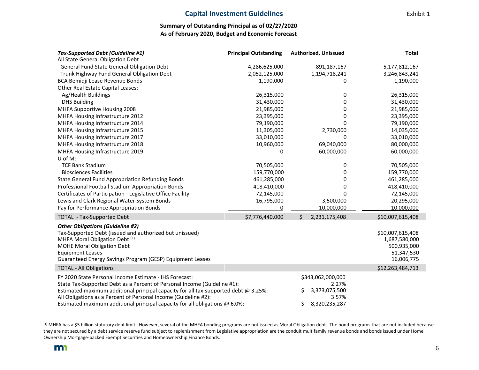#### **Capital Investment Guidelines** Exhibit 1

#### **Summary of Outstanding Principal as of 02/27/2020 As of February 2020, Budget and Economic Forecast**

| <b>Tax-Supported Debt (Guideline #1)</b>                                               | <b>Principal Outstanding</b> | <b>Authorized, Unissued</b> | <b>Total</b>     |
|----------------------------------------------------------------------------------------|------------------------------|-----------------------------|------------------|
| All State General Obligation Debt                                                      |                              |                             |                  |
| General Fund State General Obligation Debt                                             | 4,286,625,000                | 891,187,167                 | 5,177,812,167    |
| Trunk Highway Fund General Obligation Debt                                             | 2,052,125,000                | 1,194,718,241               | 3,246,843,241    |
| BCA Bemidji Lease Revenue Bonds                                                        | 1,190,000                    | 0                           | 1,190,000        |
| Other Real Estate Capital Leases:                                                      |                              |                             |                  |
| Ag/Health Buildings                                                                    | 26,315,000                   | 0                           | 26,315,000       |
| <b>DHS Building</b>                                                                    | 31,430,000                   | 0                           | 31,430,000       |
| MHFA Supportive Housing 2008                                                           | 21,985,000                   | 0                           | 21,985,000       |
| MHFA Housing Infrastructure 2012                                                       | 23,395,000                   | 0                           | 23,395,000       |
| MHFA Housing Infrastructure 2014                                                       | 79,190,000                   | 0                           | 79,190,000       |
| MHFA Housing Infrastructure 2015                                                       | 11,305,000                   | 2,730,000                   | 14,035,000       |
| MHFA Housing Infrastructure 2017                                                       | 33,010,000                   | 0                           | 33,010,000       |
| MHFA Housing Infrastructure 2018                                                       | 10,960,000                   | 69,040,000                  | 80,000,000       |
| MHFA Housing Infrastructure 2019                                                       | 0                            | 60,000,000                  | 60,000,000       |
| U of M:                                                                                |                              |                             |                  |
| <b>TCF Bank Stadium</b>                                                                | 70,505,000                   | 0                           | 70,505,000       |
| <b>Biosciences Facilities</b>                                                          | 159,770,000                  | 0                           | 159,770,000      |
| <b>State General Fund Appropriation Refunding Bonds</b>                                | 461,285,000                  | 0                           | 461,285,000      |
| Professional Football Stadium Appropriation Bonds                                      | 418,410,000                  | 0                           | 418,410,000      |
| Certificates of Participation - Legislative Office Facility                            | 72,145,000                   | 0                           | 72,145,000       |
| Lewis and Clark Regional Water System Bonds                                            | 16,795,000                   | 3,500,000                   | 20,295,000       |
| Pay for Performance Appropriation Bonds                                                | 0                            | 10,000,000                  | 10,000,000       |
| <b>TOTAL - Tax-Supported Debt</b>                                                      | \$7,776,440,000              | Ś<br>2,231,175,408          | \$10,007,615,408 |
| <b>Other Obligations (Guideline #2)</b>                                                |                              |                             |                  |
| Tax-Supported Debt (issued and authorized but unissued)                                |                              |                             | \$10,007,615,408 |
| MHFA Moral Obligation Debt <sup>(1)</sup>                                              |                              |                             | 1,687,580,000    |
| <b>MOHE Moral Obligation Debt</b>                                                      |                              |                             | 500,935,000      |
| <b>Equipment Leases</b>                                                                |                              |                             | 51,347,530       |
| Guaranteed Energy Savings Program (GESP) Equipment Leases                              |                              |                             | 16,006,775       |
| <b>TOTAL - All Obligations</b>                                                         |                              |                             | \$12,263,484,713 |
| FY 2020 State Personal Income Estimate - IHS Forecast:                                 |                              | \$343,062,000,000           |                  |
| State Tax-Supported Debt as a Percent of Personal Income (Guideline #1):               |                              | 2.27%                       |                  |
| Estimated maximum additional principal capacity for all tax-supported debt $@3.25\%$ : |                              | 3,373,075,500<br>\$         |                  |
| All Obligations as a Percent of Personal Income (Guideline #2):                        |                              | 3.57%                       |                  |
| Estimated maximum additional principal capacity for all obligations $@6.0\%$ :         |                              | \$<br>8,320,235,287         |                  |

(1) MHFA has a \$5 billion statutory debt limit. However, several of the MHFA bonding programs are not issued as Moral Obligation debt. The bond programs that are not included because they are not secured by a debt service reserve fund subject to replenishment from Legislative appropriation are the conduit multifamily revenue bonds and bonds issued under Home Ownership Mortgage-backed Exempt Securities and Homeownership Finance Bonds.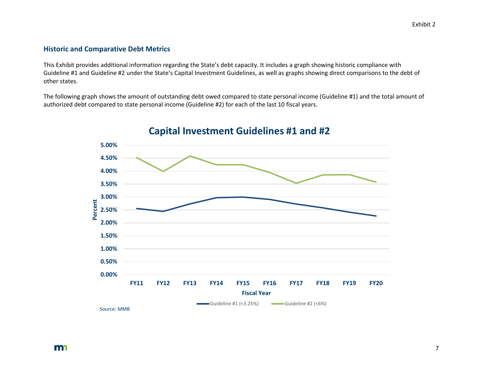#### **Historic and Comparative Debt Metrics**

This Exhibit provides additional information regarding the State's debt capacity. It includes a graph showing historic compliance with Guideline #1 and Guideline #2 under the State's Capital Investment Guidelines, as well as graphs showing direct comparisons to the debt of other states.

The following graph shows the amount of outstanding debt owed compared to state personal income (Guideline #1) and the total amount of authorized debt compared to state personal income (Guideline #2) for each of the last 10 fiscal years.



### **Capital Investment Guidelines #1 and #2**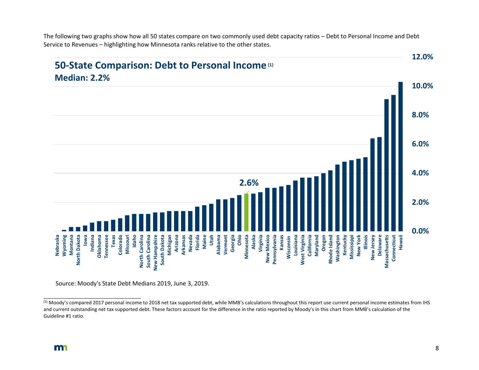The following two graphs show how all 50 states compare on two commonly used debt capacity ratios – Debt to Personal Income and Debt Service to Revenues – highlighting how Minnesota ranks relative to the other states.



Source: Moody's State Debt Medians 2019, June 3, 2019.

\_\_\_\_\_\_\_\_\_\_\_\_\_\_\_\_\_\_\_\_\_\_\_\_\_\_\_\_\_\_\_\_\_\_\_\_

<sup>&</sup>lt;sup>(1)</sup> Moody's compared 2017 personal income to 2018 net tax supported debt, while MMB's calculations throughout this report use current personal income estimates from IHS and current outstanding net tax supported debt. These factors account for the difference in the ratio reported by Moody's in this chart from MMB's calculation of the Guideline #1 ratio.